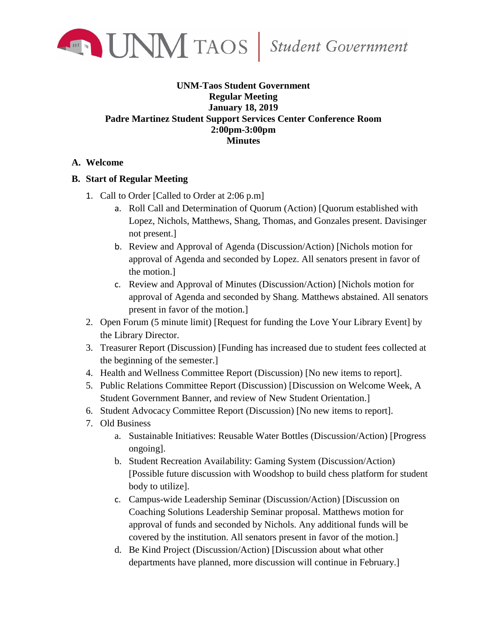

## **UNM-Taos Student Government Regular Meeting January 18, 2019 Padre Martinez Student Support Services Center Conference Room 2:00pm-3:00pm Minutes**

## **A. Welcome**

## **B. Start of Regular Meeting**

- 1. Call to Order [Called to Order at 2:06 p.m]
	- a. Roll Call and Determination of Quorum (Action) [Quorum established with Lopez, Nichols, Matthews, Shang, Thomas, and Gonzales present. Davisinger not present.]
	- b. Review and Approval of Agenda (Discussion/Action) [Nichols motion for approval of Agenda and seconded by Lopez. All senators present in favor of the motion.]
	- c. Review and Approval of Minutes (Discussion/Action) [Nichols motion for approval of Agenda and seconded by Shang. Matthews abstained. All senators present in favor of the motion.]
- 2. Open Forum (5 minute limit) [Request for funding the Love Your Library Event] by the Library Director.
- 3. Treasurer Report (Discussion) [Funding has increased due to student fees collected at the beginning of the semester.]
- 4. Health and Wellness Committee Report (Discussion) [No new items to report].
- 5. Public Relations Committee Report (Discussion) [Discussion on Welcome Week, A Student Government Banner, and review of New Student Orientation.]
- 6. Student Advocacy Committee Report (Discussion) [No new items to report].
- 7. Old Business
	- a. Sustainable Initiatives: Reusable Water Bottles (Discussion/Action) [Progress ongoing].
	- b. Student Recreation Availability: Gaming System (Discussion/Action) [Possible future discussion with Woodshop to build chess platform for student body to utilize].
	- c. Campus-wide Leadership Seminar (Discussion/Action) [Discussion on Coaching Solutions Leadership Seminar proposal. Matthews motion for approval of funds and seconded by Nichols. Any additional funds will be covered by the institution. All senators present in favor of the motion.]
	- d. Be Kind Project (Discussion/Action) [Discussion about what other departments have planned, more discussion will continue in February.]